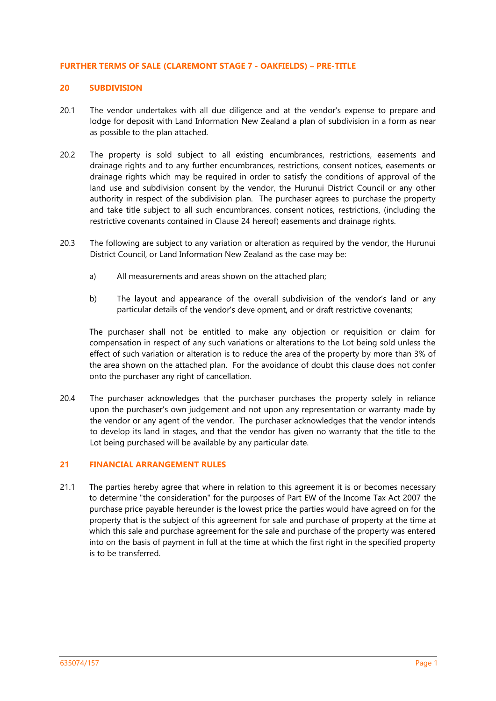## FURTHER TERMS OF SALE (CLAREMONT STAGE 7 - OAKFIELDS) PRE-TITLE

# 20 SUBDIVISION

- 20.1 The vendor undertakes with all due diligence and at the vendor's expense to prepare and lodge for deposit with Land Information New Zealand a plan of subdivision in a form as near as possible to the plan attached.
- 20.2 The property is sold subject to all existing encumbrances, restrictions, easements and drainage rights and to any further encumbrances, restrictions, consent notices, easements or drainage rights which may be required in order to satisfy the conditions of approval of the land use and subdivision consent by the vendor, the Hurunui District Council or any other authority in respect of the subdivision plan. The purchaser agrees to purchase the property and take title subject to all such encumbrances, consent notices, restrictions, (including the restrictive covenants contained in Clause 24 hereof) easements and drainage rights.
- 20.3 The following are subject to any variation or alteration as required by the vendor, the Hurunui District Council, or Land Information New Zealand as the case may be:
	- a) All measurements and areas shown on the attached plan;
	- b) The layout and appearance of the overall subdivision of the vendor's land or any particular details of the vendor's development, and or draft restrictive covenants;

The purchaser shall not be entitled to make any objection or requisition or claim for compensation in respect of any such variations or alterations to the Lot being sold unless the effect of such variation or alteration is to reduce the area of the property by more than 3% of the area shown on the attached plan. For the avoidance of doubt this clause does not confer onto the purchaser any right of cancellation.

20.4 The purchaser acknowledges that the purchaser purchases the property solely in reliance upon the purchaser's own judgement and not upon any representation or warranty made by the vendor or any agent of the vendor. The purchaser acknowledges that the vendor intends to develop its land in stages, and that the vendor has given no warranty that the title to the Lot being purchased will be available by any particular date.

# 21 FINANCIAL ARRANGEMENT RULES

21.1 The parties hereby agree that where in relation to this agreement it is or becomes necessary to determine "the consideration" for the purposes of Part EW of the Income Tax Act 2007 the purchase price payable hereunder is the lowest price the parties would have agreed on for the property that is the subject of this agreement for sale and purchase of property at the time at which this sale and purchase agreement for the sale and purchase of the property was entered into on the basis of payment in full at the time at which the first right in the specified property is to be transferred.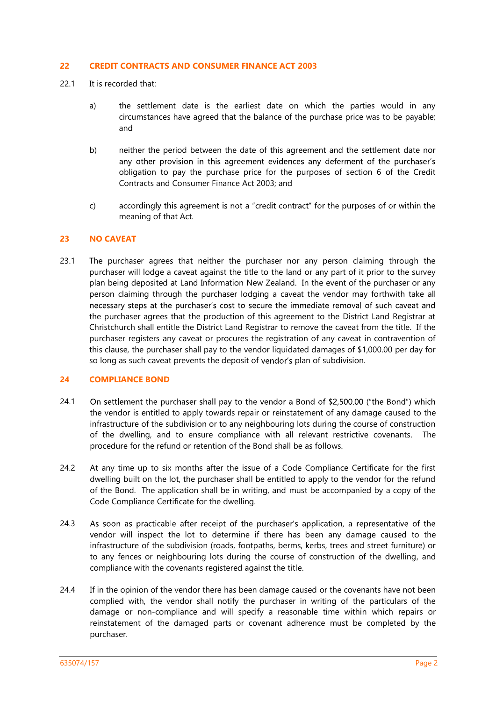## 22 CREDIT CONTRACTS AND CONSUMER FINANCE ACT 2003

- 22.1 It is recorded that:
	- a) the settlement date is the earliest date on which the parties would in any circumstances have agreed that the balance of the purchase price was to be payable; and
	- b) neither the period between the date of this agreement and the settlement date nor any other provision in this agreement evidences any deferment of the purchaser's obligation to pay the purchase price for the purposes of section 6 of the Credit Contracts and Consumer Finance Act 2003; and
	- c) accordingly this agreement is not a "credit contract" for the purposes of or within the meaning of that Act.

## 23 NO CAVEAT

23.1 The purchaser agrees that neither the purchaser nor any person claiming through the purchaser will lodge a caveat against the title to the land or any part of it prior to the survey plan being deposited at Land Information New Zealand. In the event of the purchaser or any person claiming through the purchaser lodging a caveat the vendor may forthwith take all necessary steps at the purchaser's cost to secure the immediate removal of such caveat and the purchaser agrees that the production of this agreement to the District Land Registrar at Christchurch shall entitle the District Land Registrar to remove the caveat from the title. If the purchaser registers any caveat or procures the registration of any caveat in contravention of this clause, the purchaser shall pay to the vendor liquidated damages of \$1,000.00 per day for so long as such caveat prevents the deposit of vendor's plan of subdivision.

# 24 COMPLIANCE BOND

- 24.1 On settlement the purchaser shall pay to the vendor a Bond of \$2,500.00 ("the Bond") which the vendor is entitled to apply towards repair or reinstatement of any damage caused to the infrastructure of the subdivision or to any neighbouring lots during the course of construction of the dwelling, and to ensure compliance with all relevant restrictive covenants. The procedure for the refund or retention of the Bond shall be as follows.
- 24.2 At any time up to six months after the issue of a Code Compliance Certificate for the first dwelling built on the lot, the purchaser shall be entitled to apply to the vendor for the refund of the Bond. The application shall be in writing, and must be accompanied by a copy of the Code Compliance Certificate for the dwelling.
- 24.3 As soon as practicable after receipt of the purchaser's application, a representative of the vendor will inspect the lot to determine if there has been any damage caused to the infrastructure of the subdivision (roads, footpaths, berms, kerbs, trees and street furniture) or to any fences or neighbouring lots during the course of construction of the dwelling, and compliance with the covenants registered against the title.
- 24.4 If in the opinion of the vendor there has been damage caused or the covenants have not been complied with, the vendor shall notify the purchaser in writing of the particulars of the damage or non-compliance and will specify a reasonable time within which repairs or reinstatement of the damaged parts or covenant adherence must be completed by the purchaser.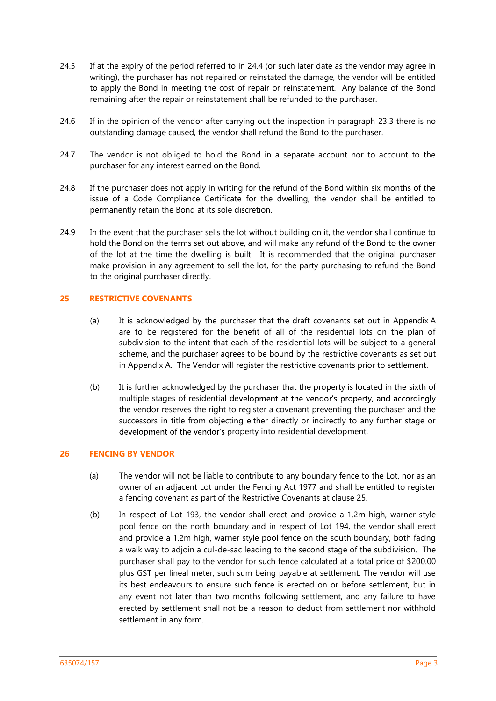- 24.5 If at the expiry of the period referred to in 24.4 (or such later date as the vendor may agree in writing), the purchaser has not repaired or reinstated the damage, the vendor will be entitled to apply the Bond in meeting the cost of repair or reinstatement. Any balance of the Bond remaining after the repair or reinstatement shall be refunded to the purchaser.
- 24.6 If in the opinion of the vendor after carrying out the inspection in paragraph 23.3 there is no outstanding damage caused, the vendor shall refund the Bond to the purchaser.
- 24.7 The vendor is not obliged to hold the Bond in a separate account nor to account to the purchaser for any interest earned on the Bond.
- 24.8 If the purchaser does not apply in writing for the refund of the Bond within six months of the issue of a Code Compliance Certificate for the dwelling, the vendor shall be entitled to permanently retain the Bond at its sole discretion.
- 24.9 In the event that the purchaser sells the lot without building on it, the vendor shall continue to hold the Bond on the terms set out above, and will make any refund of the Bond to the owner of the lot at the time the dwelling is built. It is recommended that the original purchaser make provision in any agreement to sell the lot, for the party purchasing to refund the Bond to the original purchaser directly.

# 25 RESTRICTIVE COVENANTS

- (a) It is acknowledged by the purchaser that the draft covenants set out in Appendix A are to be registered for the benefit of all of the residential lots on the plan of subdivision to the intent that each of the residential lots will be subject to a general scheme, and the purchaser agrees to be bound by the restrictive covenants as set out in Appendix A. The Vendor will register the restrictive covenants prior to settlement.
- (b) It is further acknowledged by the purchaser that the property is located in the sixth of multiple stages of residential development at the vendor's property, and accordingly the vendor reserves the right to register a covenant preventing the purchaser and the successors in title from objecting either directly or indirectly to any further stage or development of the vendor's property into residential development.

## 26 FENCING BY VENDOR

- (a) The vendor will not be liable to contribute to any boundary fence to the Lot, nor as an owner of an adjacent Lot under the Fencing Act 1977 and shall be entitled to register a fencing covenant as part of the Restrictive Covenants at clause 25.
- (b) In respect of Lot 193, the vendor shall erect and provide a 1.2m high, warner style pool fence on the north boundary and in respect of Lot 194, the vendor shall erect and provide a 1.2m high, warner style pool fence on the south boundary, both facing a walk way to adjoin a cul-de-sac leading to the second stage of the subdivision. The purchaser shall pay to the vendor for such fence calculated at a total price of \$200.00 plus GST per lineal meter, such sum being payable at settlement. The vendor will use its best endeavours to ensure such fence is erected on or before settlement, but in any event not later than two months following settlement, and any failure to have erected by settlement shall not be a reason to deduct from settlement nor withhold settlement in any form.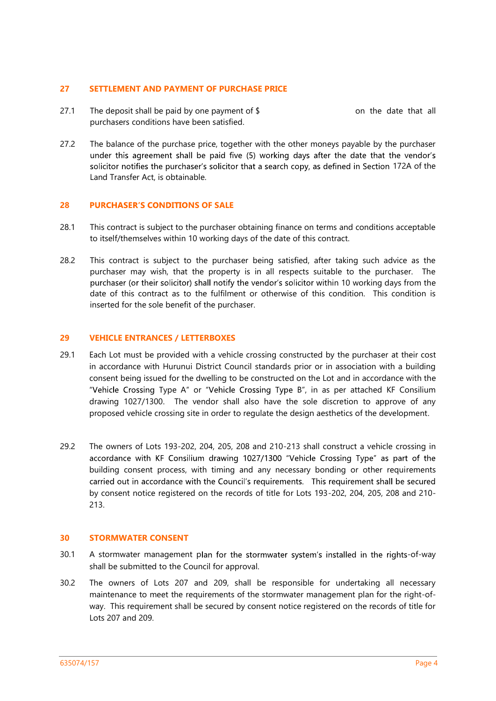## 27 SETTLEMENT AND PAYMENT OF PURCHASE PRICE

- 27.1 The deposit shall be paid by one payment of  $\frac{1}{2}$  on the date that all purchasers conditions have been satisfied.
- 27.2 The balance of the purchase price, together with the other moneys payable by the purchaser under this agreement shall be paid five (5) working days after the date that the vendor's solicitor notifies the purchaser's solicitor that a search copy, as defined in Section 172A of the Land Transfer Act, is obtainable.

# 28 PURCHASER'S CONDITIONS OF SALE

- 28.1 This contract is subject to the purchaser obtaining finance on terms and conditions acceptable to itself/themselves within 10 working days of the date of this contract.
- 28.2 This contract is subject to the purchaser being satisfied, after taking such advice as the purchaser may wish, that the property is in all respects suitable to the purchaser. The purchaser (or their solicitor) shall notify the vendor's solicitor within 10 working days from the date of this contract as to the fulfilment or otherwise of this condition. This condition is inserted for the sole benefit of the purchaser.

## 29 VEHICLE ENTRANCES / LETTERBOXES

- 29.1 Each Lot must be provided with a vehicle crossing constructed by the purchaser at their cost in accordance with Hurunui District Council standards prior or in association with a building consent being issued for the dwelling to be constructed on the Lot and in accordance with the "Vehicle Crossing Type A" or "Vehicle Crossing Type B", in as per attached KF Consilium drawing 1027/1300. The vendor shall also have the sole discretion to approve of any proposed vehicle crossing site in order to regulate the design aesthetics of the development.
- 29.2 The owners of Lots 193-202, 204, 205, 208 and 210-213 shall construct a vehicle crossing in accordance with KF Consilium drawing 1027/1300 "Vehicle Crossing Type" as part of the building consent process, with timing and any necessary bonding or other requirements carried out in accordance with the Council's requirements. This requirement shall be secured by consent notice registered on the records of title for Lots 193-202, 204, 205, 208 and 210- 213.

## 30 STORMWATER CONSENT

- 30.1 A stormwater management plan for the stormwater system's installed in the rights-of-way shall be submitted to the Council for approval.
- 30.2 The owners of Lots 207 and 209, shall be responsible for undertaking all necessary maintenance to meet the requirements of the stormwater management plan for the right-ofway. This requirement shall be secured by consent notice registered on the records of title for Lots 207 and 209.